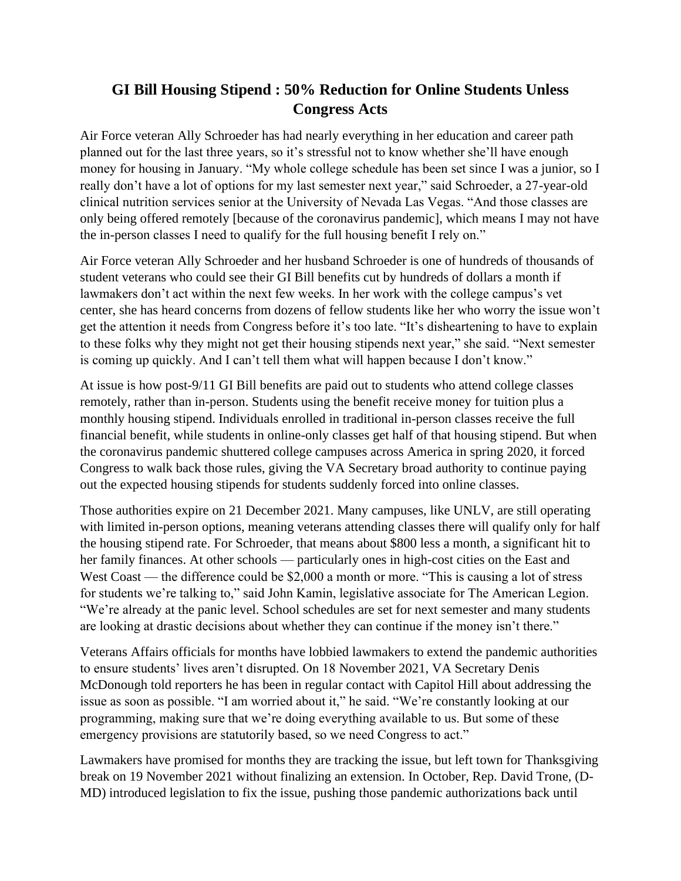## **GI Bill Housing Stipend : 50% Reduction for Online Students Unless Congress Acts**

Air Force veteran Ally Schroeder has had nearly everything in her education and career path planned out for the last three years, so it's stressful not to know whether she'll have enough money for housing in January. "My whole college schedule has been set since I was a junior, so I really don't have a lot of options for my last semester next year," said Schroeder, a 27-year-old clinical nutrition services senior at the University of Nevada Las Vegas. "And those classes are only being offered remotely [because of the coronavirus pandemic], which means I may not have the in-person classes I need to qualify for the full housing benefit I rely on."

Air Force veteran Ally Schroeder and her husband Schroeder is one of hundreds of thousands of student veterans who could see their GI Bill benefits cut by hundreds of dollars a month if lawmakers don't act within the next few weeks. In her work with the college campus's vet center, she has heard concerns from dozens of fellow students like her who worry the issue won't get the attention it needs from Congress before it's too late. "It's disheartening to have to explain to these folks why they might not get their housing stipends next year," she said. "Next semester is coming up quickly. And I can't tell them what will happen because I don't know."

At issue is how post-9/11 GI Bill benefits are paid out to students who attend college classes remotely, rather than in-person. Students using the benefit receive money for tuition plus a monthly housing stipend. Individuals enrolled in traditional in-person classes receive the full financial benefit, while students in online-only classes get half of that housing stipend. But when the coronavirus pandemic shuttered college campuses across America in spring 2020, it forced Congress to walk back those rules, giving the VA Secretary broad authority to continue paying out the expected housing stipends for students suddenly forced into online classes.

Those authorities expire on 21 December 2021. Many campuses, like UNLV, are still operating with limited in-person options, meaning veterans attending classes there will qualify only for half the housing stipend rate. For Schroeder, that means about \$800 less a month, a significant hit to her family finances. At other schools — particularly ones in high-cost cities on the East and West Coast — the difference could be \$2,000 a month or more. "This is causing a lot of stress for students we're talking to," said John Kamin, legislative associate for The American Legion. "We're already at the panic level. School schedules are set for next semester and many students are looking at drastic decisions about whether they can continue if the money isn't there."

Veterans Affairs officials for months have lobbied lawmakers to extend the pandemic authorities to ensure students' lives aren't disrupted. On 18 November 2021, VA Secretary Denis McDonough told reporters he has been in regular contact with Capitol Hill about addressing the issue as soon as possible. "I am worried about it," he said. "We're constantly looking at our programming, making sure that we're doing everything available to us. But some of these emergency provisions are statutorily based, so we need Congress to act."

Lawmakers have promised for months they are tracking the issue, but left town for Thanksgiving break on 19 November 2021 without finalizing an extension. In October, Rep. David Trone, (D-MD) introduced legislation to fix the issue, pushing those pandemic authorizations back until